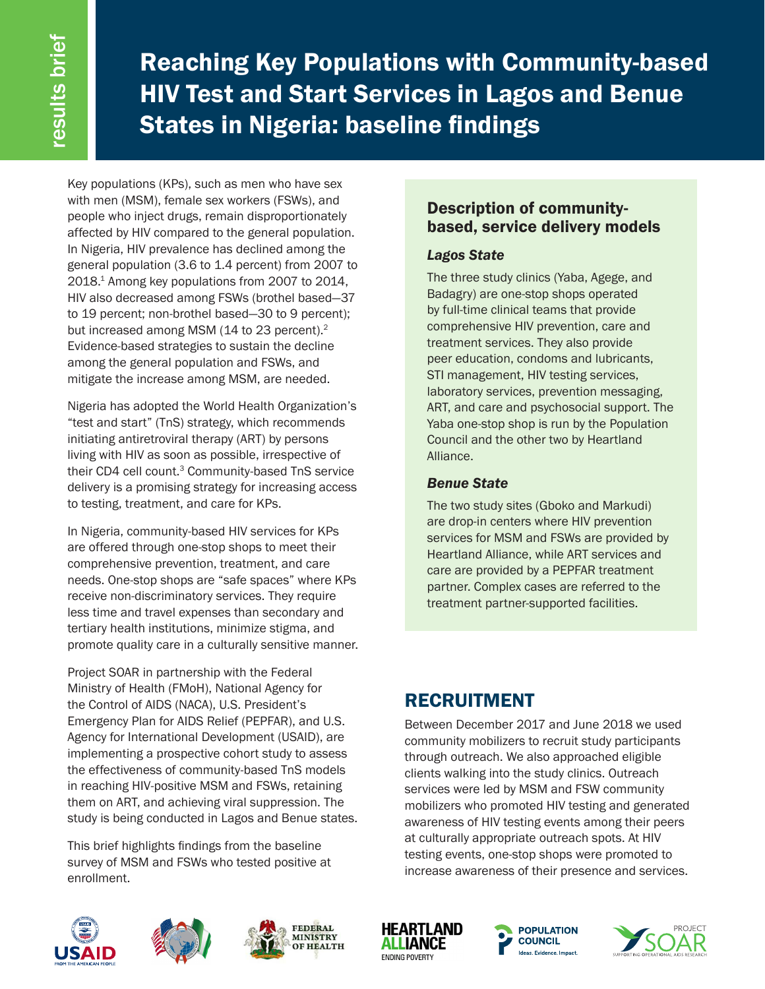Reaching Key Populations with Community-based HIV Test and Start Services in Lagos and Benue States in Nigeria: baseline findings

Key populations (KPs), such as men who have sex with men (MSM), female sex workers (FSWs), and people who inject drugs, remain disproportionately affected by HIV compared to the general population. In Nigeria, HIV prevalence has declined among the general population (3.6 to 1.4 percent) from 2007 to 2018.1 Among key populations from 2007 to 2014, HIV also decreased among FSWs (brothel based—37 to 19 percent; non-brothel based—30 to 9 percent); but increased among MSM (14 to 23 percent).<sup>2</sup> Evidence-based strategies to sustain the decline among the general population and FSWs, and mitigate the increase among MSM, are needed.

Nigeria has adopted the World Health Organization's "test and start" (TnS) strategy, which recommends initiating antiretroviral therapy (ART) by persons living with HIV as soon as possible, irrespective of their CD4 cell count.<sup>3</sup> Community-based TnS service delivery is a promising strategy for increasing access to testing, treatment, and care for KPs.

In Nigeria, community-based HIV services for KPs are offered through one-stop shops to meet their comprehensive prevention, treatment, and care needs. One-stop shops are "safe spaces" where KPs receive non-discriminatory services. They require less time and travel expenses than secondary and tertiary health institutions, minimize stigma, and promote quality care in a culturally sensitive manner.

Project SOAR in partnership with the Federal Ministry of Health (FMoH), National Agency for the Control of AIDS (NACA), U.S. President's Emergency Plan for AIDS Relief (PEPFAR), and U.S. Agency for International Development (USAID), are implementing a prospective cohort study to assess the effectiveness of community-based TnS models in reaching HIV-positive MSM and FSWs, retaining them on ART, and achieving viral suppression. The study is being conducted in Lagos and Benue states.

This brief highlights findings from the baseline survey of MSM and FSWs who tested positive at enrollment.

## Description of communitybased, service delivery models

### *Lagos State*

The three study clinics (Yaba, Agege, and Badagry) are one-stop shops operated by full-time clinical teams that provide comprehensive HIV prevention, care and treatment services. They also provide peer education, condoms and lubricants, STI management, HIV testing services, laboratory services, prevention messaging, ART, and care and psychosocial support. The Yaba one-stop shop is run by the Population Council and the other two by Heartland Alliance.

## *Benue State*

The two study sites (Gboko and Markudi) are drop-in centers where HIV prevention services for MSM and FSWs are provided by Heartland Alliance, while ART services and care are provided by a PEPFAR treatment partner. Complex cases are referred to the treatment partner-supported facilities.

# RECRUITMENT

Between December 2017 and June 2018 we used community mobilizers to recruit study participants through outreach. We also approached eligible clients walking into the study clinics. Outreach services were led by MSM and FSW community mobilizers who promoted HIV testing and generated awareness of HIV testing events among their peers at culturally appropriate outreach spots. At HIV testing events, one-stop shops were promoted to increase awareness of their presence and services.











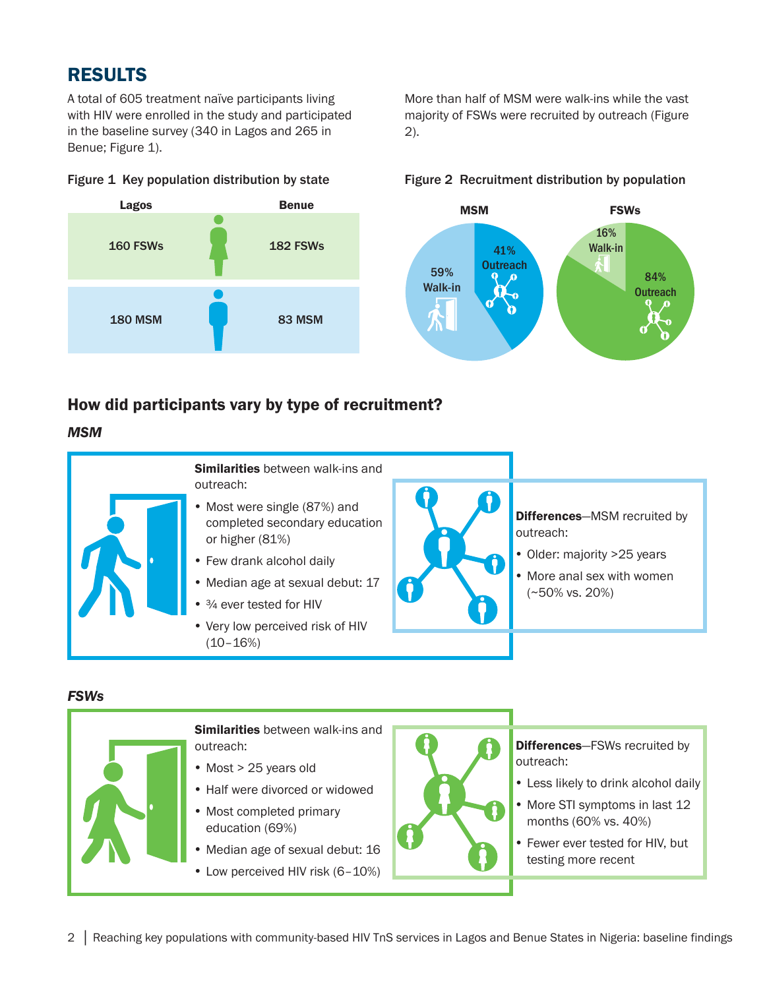## RESULTS

160 FSWs

180 MSM

A total of 605 treatment naïve participants living with HIV were enrolled in the study and participated in the baseline survey (340 in Lagos and 265 in Benue; Figure 1).

More than half of MSM were walk-ins while the vast majority of FSWs were recruited by outreach (Figure 2).

#### 182 FSWs 83 MSM Lagos **Benue** 59% Walk-in 16% Walk-in MSM FSWs 41% **Outreach** 84% **Outreach**

How did participants vary by type of recruitment?

# *MSM*



#### *FSWs*



## Figure 1 Key population distribution by state Figure 2 Recruitment distribution by population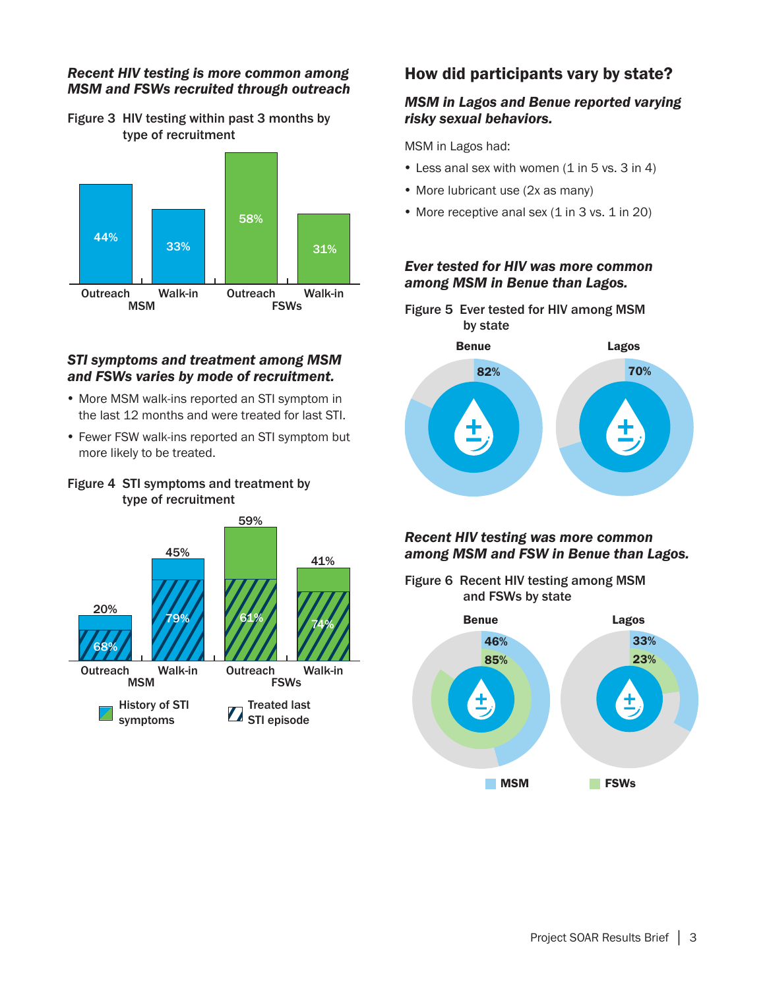#### *Recent HIV testing is more common among MSM and FSWs recruited through outreach*

Figure 3 HIV testing within past 3 months by type of recruitment



#### *STI symptoms and treatment among MSM and FSWs varies by mode of recruitment.*

- More MSM walk-ins reported an STI symptom in the last 12 months and were treated for last STI.
- Fewer FSW walk-ins reported an STI symptom but more likely to be treated.





## How did participants vary by state?

### *MSM in Lagos and Benue reported varying risky sexual behaviors.*

MSM in Lagos had:

- $\bullet$  Less anal sex with women (1 in 5 vs. 3 in 4)
- More lubricant use (2x as many)
- More receptive anal sex (1 in 3 vs. 1 in 20)

#### *Ever tested for HIV was more common among MSM in Benue than Lagos.*



### *Recent HIV testing was more common among MSM and FSW in Benue than Lagos.*